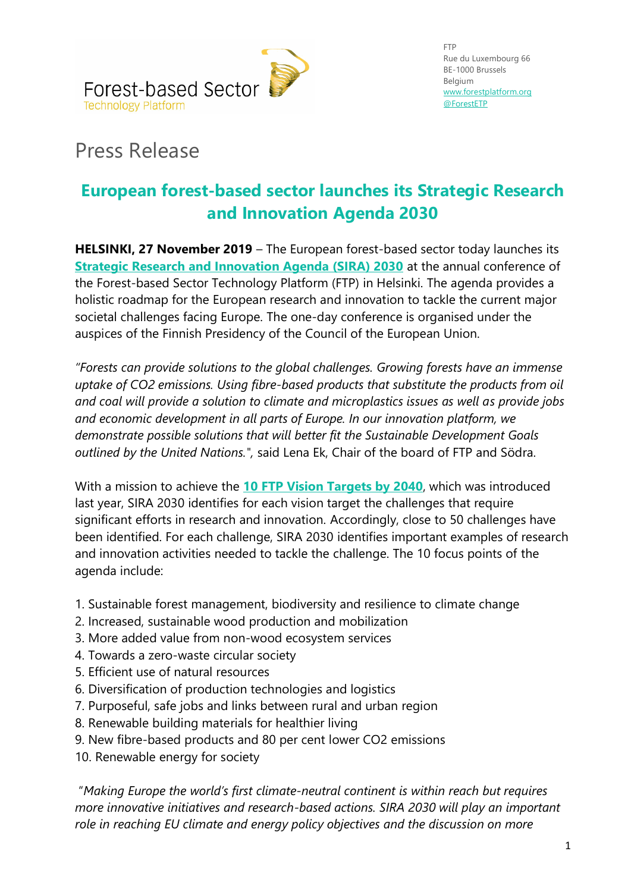

## Press Release

## **European forest-based sector launches its Strategic Research and Innovation Agenda 2030**

**HELSINKI, 27 November 2019** – The European forest-based sector today launches its **[Strategic Research and Innovation Agenda \(SIRA\) 2030](http://new-www.forestplatform.org/system/attachments/files/000/000/692/original/SIRA_2030.pdf?1574846949)** at the annual conference of the Forest-based Sector Technology Platform (FTP) in Helsinki. The agenda provides a holistic roadmap for the European research and innovation to tackle the current major societal challenges facing Europe. The one-day conference is organised under the auspices of the Finnish Presidency of the Council of the European Union.

*"Forests can provide solutions to the global challenges. Growing forests have an immense uptake of CO2 emissions. Using fibre-based products that substitute the products from oil and coal will provide a solution to climate and microplastics issues as well as provide jobs and economic development in all parts of Europe. In our innovation platform, we demonstrate possible solutions that will better fit the Sustainable Development Goals outlined by the United Nations.",* said Lena Ek, Chair of the board of FTP and Södra.

With a mission to achieve the **[10 FTP Vision Targets by 2040](http://new-www.forestplatform.org/#!/pages/1)**, which was introduced last year, SIRA 2030 identifies for each vision target the challenges that require significant efforts in research and innovation. Accordingly, close to 50 challenges have been identified. For each challenge, SIRA 2030 identifies important examples of research and innovation activities needed to tackle the challenge. The 10 focus points of the agenda include:

- 1. Sustainable forest management, biodiversity and resilience to climate change
- 2. Increased, sustainable wood production and mobilization
- 3. More added value from non-wood ecosystem services
- 4. Towards a zero-waste circular society
- 5. Efficient use of natural resources
- 6. Diversification of production technologies and logistics
- 7. Purposeful, safe jobs and links between rural and urban region
- 8. Renewable building materials for healthier living
- 9. New fibre-based products and 80 per cent lower CO2 emissions
- 10. Renewable energy for society

"*Making Europe the world's first climate-neutral continent is within reach but requires more innovative initiatives and research-based actions. SIRA 2030 will play an important role in reaching EU climate and energy policy objectives and the discussion on more*